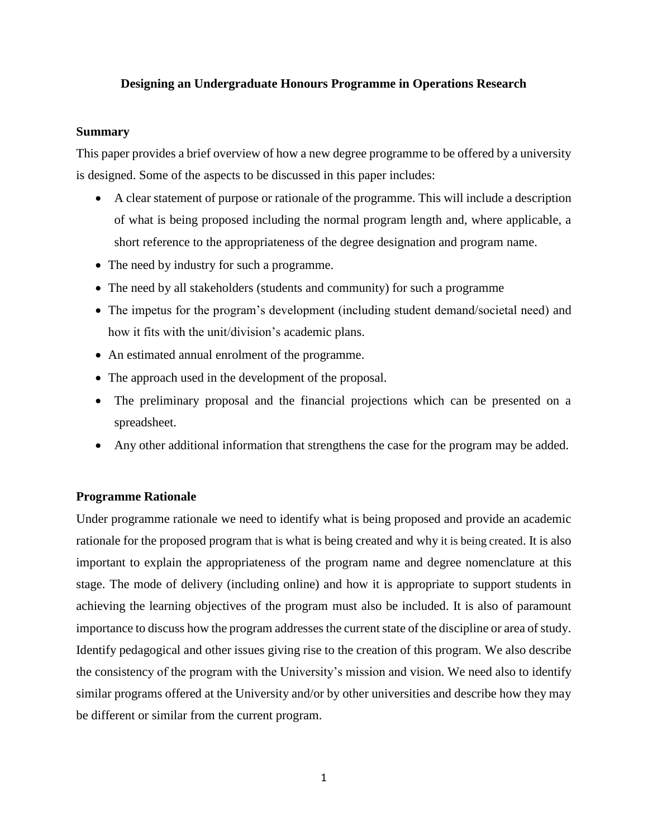# **Designing an Undergraduate Honours Programme in Operations Research**

## **Summary**

This paper provides a brief overview of how a new degree programme to be offered by a university is designed. Some of the aspects to be discussed in this paper includes:

- A clear statement of purpose or rationale of the programme. This will include a description of what is being proposed including the normal program length and, where applicable, a short reference to the appropriateness of the degree designation and program name.
- The need by industry for such a programme.
- The need by all stakeholders (students and community) for such a programme
- The impetus for the program's development (including student demand/societal need) and how it fits with the unit/division's academic plans.
- An estimated annual enrolment of the programme.
- The approach used in the development of the proposal.
- The preliminary proposal and the financial projections which can be presented on a spreadsheet.
- Any other additional information that strengthens the case for the program may be added.

# **Programme Rationale**

Under programme rationale we need to identify what is being proposed and provide an academic rationale for the proposed program that is what is being created and why it is being created. It is also important to explain the appropriateness of the program name and degree nomenclature at this stage. The mode of delivery (including online) and how it is appropriate to support students in achieving the learning objectives of the program must also be included. It is also of paramount importance to discuss how the program addresses the current state of the discipline or area of study. Identify pedagogical and other issues giving rise to the creation of this program. We also describe the consistency of the program with the University's mission and vision. We need also to identify similar programs offered at the University and/or by other universities and describe how they may be different or similar from the current program.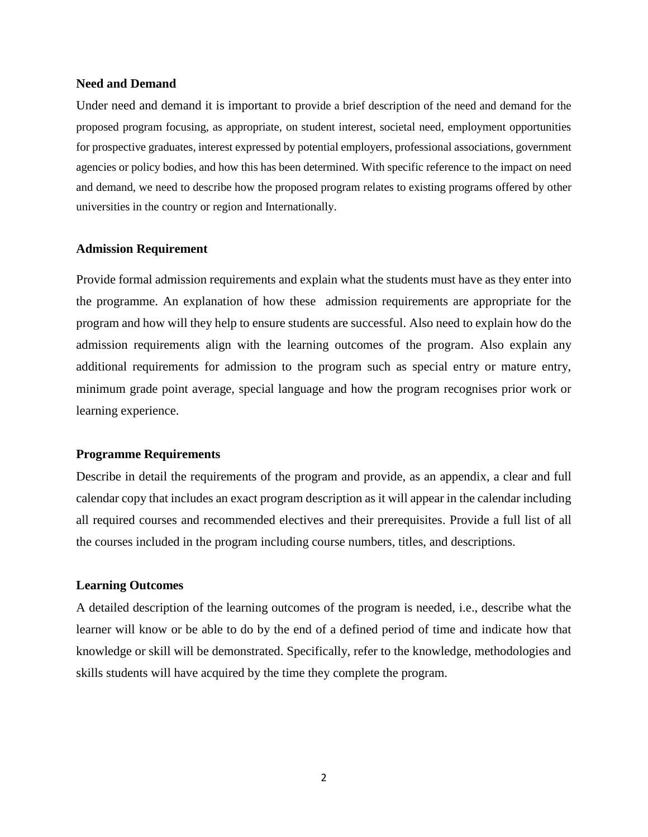## **Need and Demand**

Under need and demand it is important to provide a brief description of the need and demand for the proposed program focusing, as appropriate, on student interest, societal need, employment opportunities for prospective graduates, interest expressed by potential employers, professional associations, government agencies or policy bodies, and how this has been determined. With specific reference to the impact on need and demand, we need to describe how the proposed program relates to existing programs offered by other universities in the country or region and Internationally.

#### **Admission Requirement**

Provide formal admission requirements and explain what the students must have as they enter into the programme. An explanation of how these admission requirements are appropriate for the program and how will they help to ensure students are successful. Also need to explain how do the admission requirements align with the learning outcomes of the program. Also explain any additional requirements for admission to the program such as special entry or mature entry, minimum grade point average, special language and how the program recognises prior work or learning experience.

## **Programme Requirements**

Describe in detail the requirements of the program and provide, as an appendix, a clear and full calendar copy that includes an exact program description as it will appear in the calendar including all required courses and recommended electives and their prerequisites. Provide a full list of all the courses included in the program including course numbers, titles, and descriptions.

#### **Learning Outcomes**

A detailed description of the learning outcomes of the program is needed, i.e., describe what the learner will know or be able to do by the end of a defined period of time and indicate how that knowledge or skill will be demonstrated. Specifically, refer to the knowledge, methodologies and skills students will have acquired by the time they complete the program.